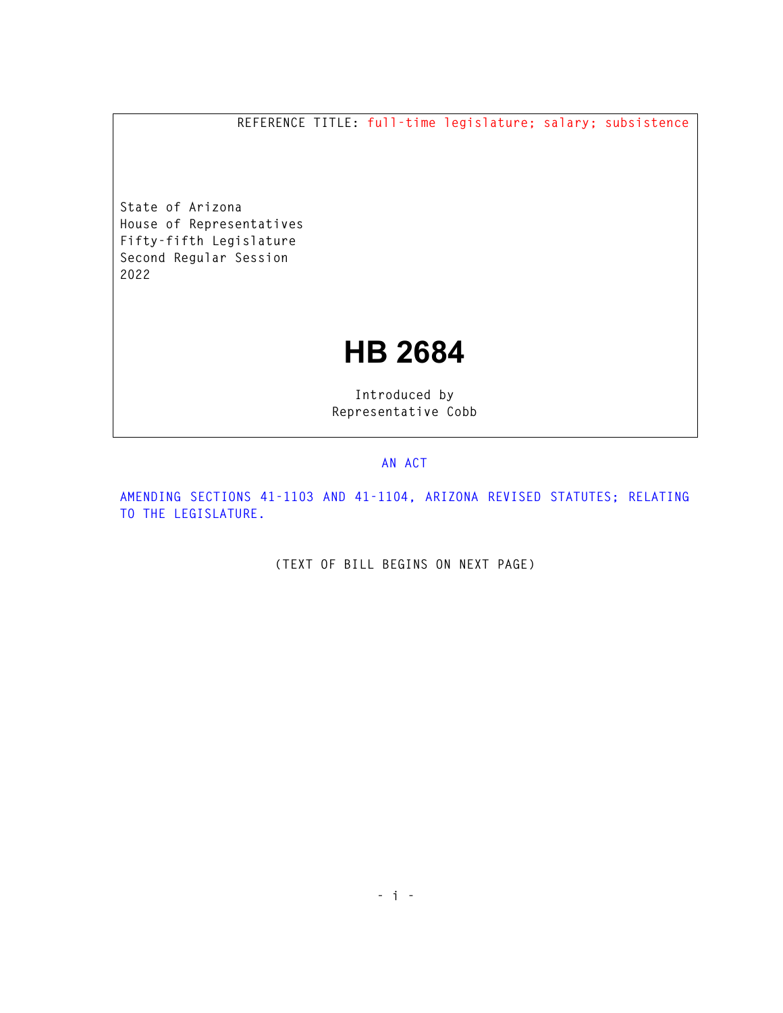**REFERENCE TITLE: full-time legislature; salary; subsistence** 

**State of Arizona House of Representatives Fifty-fifth Legislature Second Regular Session 2022** 

## **HB 2684**

**Introduced by Representative Cobb** 

## **AN ACT**

**AMENDING SECTIONS 41-1103 AND 41-1104, ARIZONA REVISED STATUTES; RELATING TO THE LEGISLATURE.** 

**(TEXT OF BILL BEGINS ON NEXT PAGE)**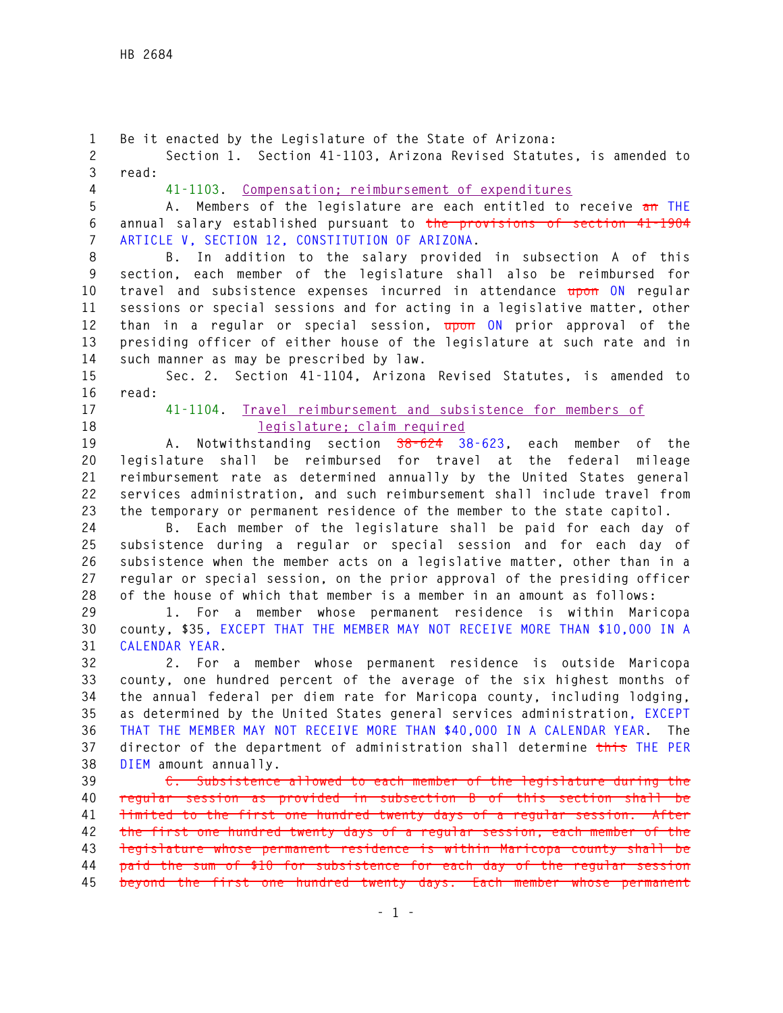**1 Be it enacted by the Legislature of the State of Arizona: 2 Section 1. Section 41-1103, Arizona Revised Statutes, is amended to 3 read: 4 41-1103. Compensation; reimbursement of expenditures 5 A. Members of the legislature are each entitled to receive an THE 6 annual salary established pursuant to the provisions of section 41-1904 7 ARTICLE V, SECTION 12, CONSTITUTION OF ARIZONA. 8 B. In addition to the salary provided in subsection A of this 9 section, each member of the legislature shall also be reimbursed for 10 travel and subsistence expenses incurred in attendance upon ON regular 11 sessions or special sessions and for acting in a legislative matter, other 12 than in a regular or special session, upon ON prior approval of the 13 presiding officer of either house of the legislature at such rate and in 14 such manner as may be prescribed by law. 15 Sec. 2. Section 41-1104, Arizona Revised Statutes, is amended to 16 read: 17 41-1104. Travel reimbursement and subsistence for members of 18 legislature; claim required 19 A. Notwithstanding section 38-624 38-623, each member of the 20 legislature shall be reimbursed for travel at the federal mileage 21 reimbursement rate as determined annually by the United States general 22 services administration, and such reimbursement shall include travel from 23 the temporary or permanent residence of the member to the state capitol. 24 B. Each member of the legislature shall be paid for each day of 25 subsistence during a regular or special session and for each day of 26 subsistence when the member acts on a legislative matter, other than in a 27 regular or special session, on the prior approval of the presiding officer 28 of the house of which that member is a member in an amount as follows: 29 1. For a member whose permanent residence is within Maricopa 30 county, \$35, EXCEPT THAT THE MEMBER MAY NOT RECEIVE MORE THAN \$10,000 IN A 31 CALENDAR YEAR. 32 2. For a member whose permanent residence is outside Maricopa 33 county, one hundred percent of the average of the six highest months of 34 the annual federal per diem rate for Maricopa county, including lodging, 35 as determined by the United States general services administration, EXCEPT 36 THAT THE MEMBER MAY NOT RECEIVE MORE THAN \$40,000 IN A CALENDAR YEAR. The 37 director of the department of administration shall determine this THE PER 38 DIEM amount annually. 39 C. Subsistence allowed to each member of the legislature during the 40 regular session as provided in subsection B of this section shall be 41 limited to the first one hundred twenty days of a regular session. After 42 the first one hundred twenty days of a regular session, each member of the 43 legislature whose permanent residence is within Maricopa county shall be 44 paid the sum of \$10 for subsistence for each day of the regular session 45 beyond the first one hundred twenty days. Each member whose permanent**